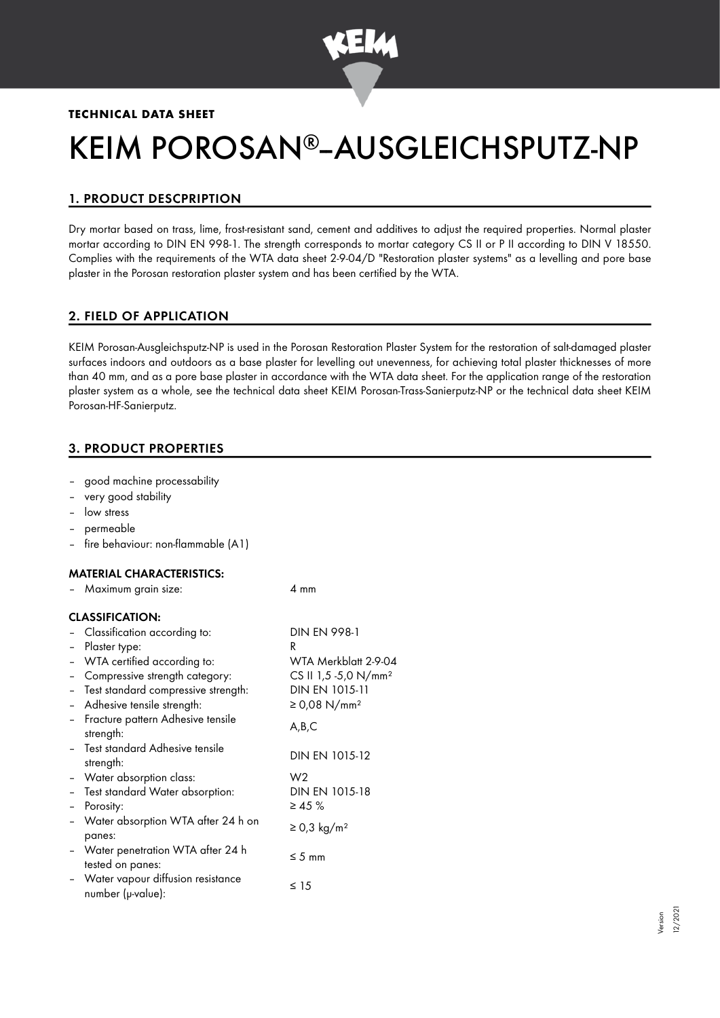

## **TECHNICAL DATA SHEET**

# KEIM POROSAN®-AUSGLEICHSPUTZ-NP

# 1. PRODUCT DESCPRIPTION

Dry mortar based on trass, lime, frost-resistant sand, cement and additives to adjust the required properties. Normal plaster mortar according to DIN EN 998-1. The strength corresponds to mortar category CS II or P II according to DIN V 18550. Complies with the requirements of the WTA data sheet 2-9-04/D "Restoration plaster systems" as a levelling and pore base plaster in the Porosan restoration plaster system and has been certified by the WTA.

## 2. FIELD OF APPLICATION

KEIM Porosan-Ausgleichsputz-NP is used in the Porosan Restoration Plaster System for the restoration of salt-damaged plaster surfaces indoors and outdoors as a base plaster for levelling out unevenness, for achieving total plaster thicknesses of more than 40 mm, and as a pore base plaster in accordance with the WTA data sheet. For the application range of the restoration plaster system as a whole, see the technical data sheet KEIM Porosan-Trass-Sanierputz-NP or the technical data sheet KEIM Porosan-HF-Sanierputz.

# 3. PRODUCT PROPERTIES

- good machine processability
- very good stability
- low stress
- permeable
- fire behaviour: non-flammable (A1)

#### MATERIAL CHARACTERISTICS:

|  | Maximum grain size: |  |  |  | $4 \text{ mm}$ |
|--|---------------------|--|--|--|----------------|
|--|---------------------|--|--|--|----------------|

#### CLASSIFICATION:

|                          | Classification according to:                             | <b>DIN EN 998-1</b>              |
|--------------------------|----------------------------------------------------------|----------------------------------|
|                          | Plaster type:                                            | R.                               |
|                          | WTA certified according to:                              | WTA Merkblatt 2-9-04             |
|                          | Compressive strength category:                           | CS II 1,5 -5,0 N/mm <sup>2</sup> |
|                          | Test standard compressive strength:                      | DIN EN 1015-11                   |
|                          | Adhesive tensile strength:                               | ≥ 0,08 N/mm <sup>2</sup>         |
|                          | Fracture pattern Adhesive tensile<br>strength:           | A,B,C                            |
|                          | - Test standard Adhesive tensile<br>strength:            | DIN EN 1015-12                   |
|                          | - Water absorption class:                                | W2                               |
| $\overline{\phantom{0}}$ | Test standard Water absorption:                          | DIN EN 1015-18                   |
|                          | Porosity:                                                | $\geq 45 \%$                     |
|                          | Water absorption WTA after 24 h on<br>panes:             | $\geq$ 0,3 kg/m <sup>2</sup>     |
|                          | - Water penetration WTA after 24 h<br>tested on panes:   | $\leq$ 5 mm                      |
|                          | - Water vapour diffusion resistance<br>number (µ-value): | $\leq 15$                        |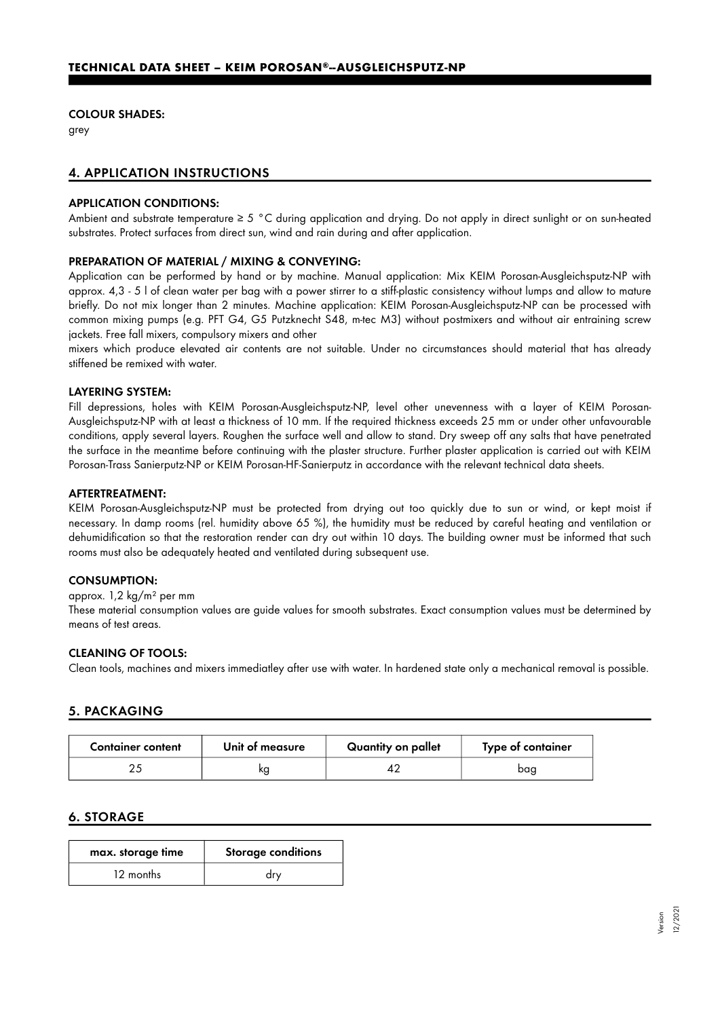#### COLOUR SHADES:

grey

## 4. APPLICATION INSTRUCTIONS

#### APPLICATION CONDITIONS:

Ambient and substrate temperature ≥ 5 °C during application and drying. Do not apply in direct sunlight or on sun-heated substrates. Protect surfaces from direct sun, wind and rain during and after application.

#### PREPARATION OF MATERIAL / MIXING & CONVEYING:

Application can be performed by hand or by machine. Manual application: Mix KEIM Porosan-Ausgleichsputz-NP with approx. 4,3 - 5 l of clean water per bag with a power stirrer to a stiff-plastic consistency without lumps and allow to mature briefly. Do not mix longer than 2 minutes. Machine application: KEIM Porosan-Ausgleichsputz-NP can be processed with common mixing pumps (e.g. PFT G4, G5 Putzknecht S48, m-tec M3) without postmixers and without air entraining screw jackets. Free fall mixers, compulsory mixers and other

mixers which produce elevated air contents are not suitable. Under no circumstances should material that has already stiffened be remixed with water.

#### LAYERING SYSTEM:

Fill depressions, holes with KEIM Porosan-Ausgleichsputz-NP, level other unevenness with a layer of KEIM Porosan-Ausgleichsputz-NP with at least a thickness of 10 mm. If the required thickness exceeds 25 mm or under other unfavourable conditions, apply several layers. Roughen the surface well and allow to stand. Dry sweep off any salts that have penetrated the surface in the meantime before continuing with the plaster structure. Further plaster application is carried out with KEIM Porosan-Trass Sanierputz-NP or KEIM Porosan-HF-Sanierputz in accordance with the relevant technical data sheets.

#### AFTERTREATMENT:

KEIM Porosan-Ausgleichsputz-NP must be protected from drying out too quickly due to sun or wind, or kept moist if necessary. In damp rooms (rel. humidity above 65 %), the humidity must be reduced by careful heating and ventilation or dehumidification so that the restoration render can dry out within 10 days. The building owner must be informed that such rooms must also be adequately heated and ventilated during subsequent use.

#### CONSUMPTION:

#### approx. 1,2 kg/m² per mm

These material consumption values are guide values for smooth substrates. Exact consumption values must be determined by means of test areas.

#### CLEANING OF TOOLS:

Clean tools, machines and mixers immediatley after use with water. In hardened state only a mechanical removal is possible.

## 5. PACKAGING

| <b>Container content</b> | Unit of measure | Quantity on pallet | Type of container |  |
|--------------------------|-----------------|--------------------|-------------------|--|
|                          | ĸg              |                    | baq               |  |

## 6. STORAGE

| max. storage time |           | <b>Storage conditions</b> |  |
|-------------------|-----------|---------------------------|--|
|                   | 12 months | drv                       |  |